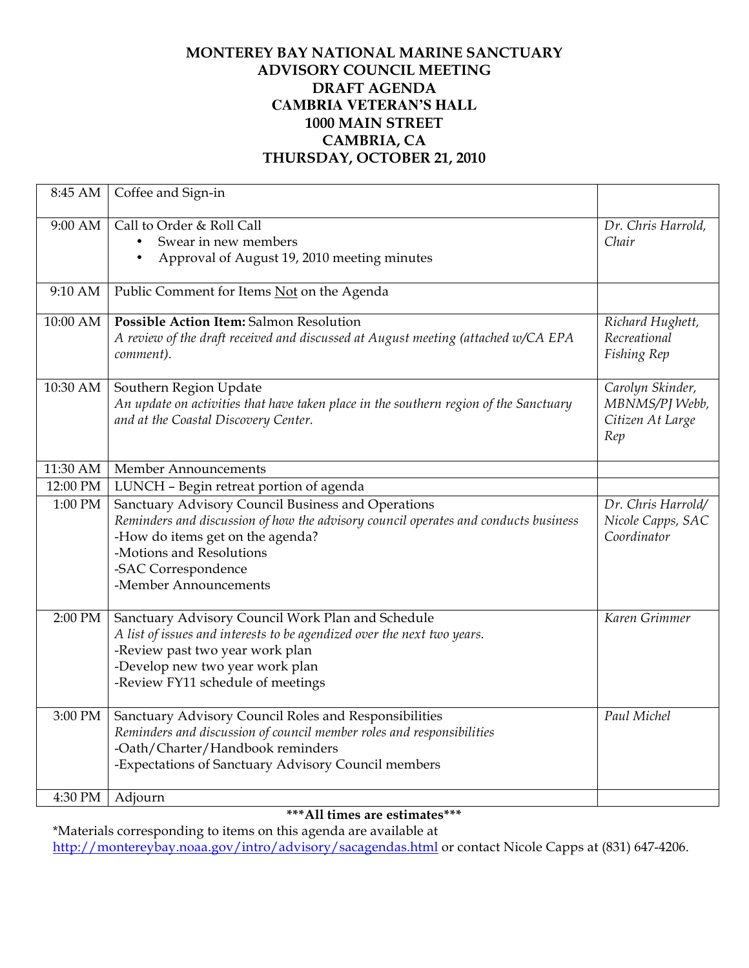## **MONTEREY BAY NATIONAL MARINE SANCTUARY ADVISORY COUNCIL MEETING DRAFT AGENDA CAMBRIA VETERAN'S HALL 1000 MAIN STREET CAMBRIA, CA THURSDAY, OCTOBER 21, 2010**

| 8:45 AM            | Coffee and Sign-in                                                                                                                                                                                                                                        |                                                               |
|--------------------|-----------------------------------------------------------------------------------------------------------------------------------------------------------------------------------------------------------------------------------------------------------|---------------------------------------------------------------|
| 9:00 AM            | Call to Order & Roll Call<br>Swear in new members<br>$\bullet$<br>Approval of August 19, 2010 meeting minutes                                                                                                                                             | Dr. Chris Harrold,<br>Chair                                   |
| 9:10 AM            | Public Comment for Items Not on the Agenda                                                                                                                                                                                                                |                                                               |
| 10:00 AM           | <b>Possible Action Item: Salmon Resolution</b><br>A review of the draft received and discussed at August meeting (attached w/CA EPA<br>comment).                                                                                                          | Richard Hughett,<br>Recreational<br>Fishing Rep               |
| 10:30 AM           | Southern Region Update<br>An update on activities that have taken place in the southern region of the Sanctuary<br>and at the Coastal Discovery Center.                                                                                                   | Carolyn Skinder,<br>MBNMS/PJ Webb,<br>Citizen At Large<br>Rep |
| 11:30 AM           | Member Announcements                                                                                                                                                                                                                                      |                                                               |
| 12:00 PM           | LUNCH - Begin retreat portion of agenda                                                                                                                                                                                                                   |                                                               |
| 1:00 PM            | Sanctuary Advisory Council Business and Operations<br>Reminders and discussion of how the advisory council operates and conducts business<br>-How do items get on the agenda?<br>-Motions and Resolutions<br>-SAC Correspondence<br>-Member Announcements | Dr. Chris Harrold/<br>Nicole Capps, SAC<br>Coordinator        |
| 2:00 PM            | Sanctuary Advisory Council Work Plan and Schedule<br>A list of issues and interests to be agendized over the next two years.<br>-Review past two year work plan<br>-Develop new two year work plan<br>-Review FY11 schedule of meetings                   | Karen Grimmer                                                 |
| 3:00 PM<br>4:30 PM | Sanctuary Advisory Council Roles and Responsibilities<br>Reminders and discussion of council member roles and responsibilities<br>-Oath/Charter/Handbook reminders<br>-Expectations of Sanctuary Advisory Council members<br>Adjourn                      | Paul Michel                                                   |
|                    |                                                                                                                                                                                                                                                           |                                                               |

**\*\*\*All times are estimates\*\*\***

\*Materials corresponding to items on this agenda are available at http://montereybay.noaa.gov/intro/advisory/sacagendas.html or contact Nicole Capps at (831) 647-4206.